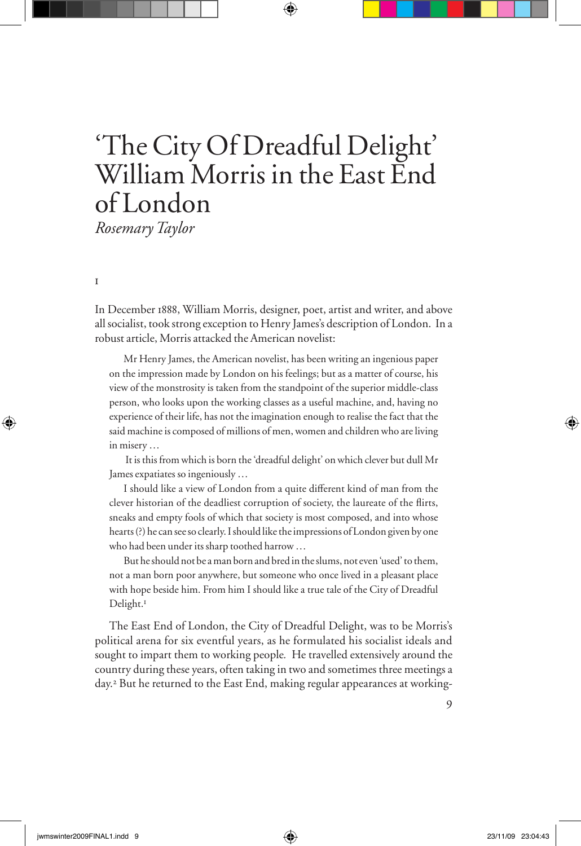# 'The City Of Dreadful Delight' William Morris in the East End of London

*Rosemary Taylor*

i

In December 1888, William Morris, designer, poet, artist and writer, and above all socialist, took strong exception to Henry James's description of London. In a robust article, Morris attacked the American novelist:

Mr Henry James, the American novelist, has been writing an ingenious paper on the impression made by London on his feelings; but as a matter of course, his view of the monstrosity is taken from the standpoint of the superior middle-class person, who looks upon the working classes as a useful machine, and, having no experience of their life, has not the imagination enough to realise the fact that the said machine is composed of millions of men, women and children who are living in misery …

 It is this from which is born the 'dreadful delight' on which clever but dull Mr James expatiates so ingeniously …

I should like a view of London from a quite different kind of man from the clever historian of the deadliest corruption of society, the laureate of the flirts, sneaks and empty fools of which that society is most composed, and into whose hearts (?) he can see so clearly. I should like the impressions of London given by one who had been under its sharp toothed harrow …

But he should not be a man born and bred in the slums, not even 'used' to them, not a man born poor anywhere, but someone who once lived in a pleasant place with hope beside him. From him I should like a true tale of the City of Dreadful Delight.<sup>1</sup>

The East End of London, the City of Dreadful Delight, was to be Morris's political arena for six eventful years, as he formulated his socialist ideals and sought to impart them to working people*.* He travelled extensively around the country during these years, often taking in two and sometimes three meetings a day.<sup>2</sup> But he returned to the East End, making regular appearances at working-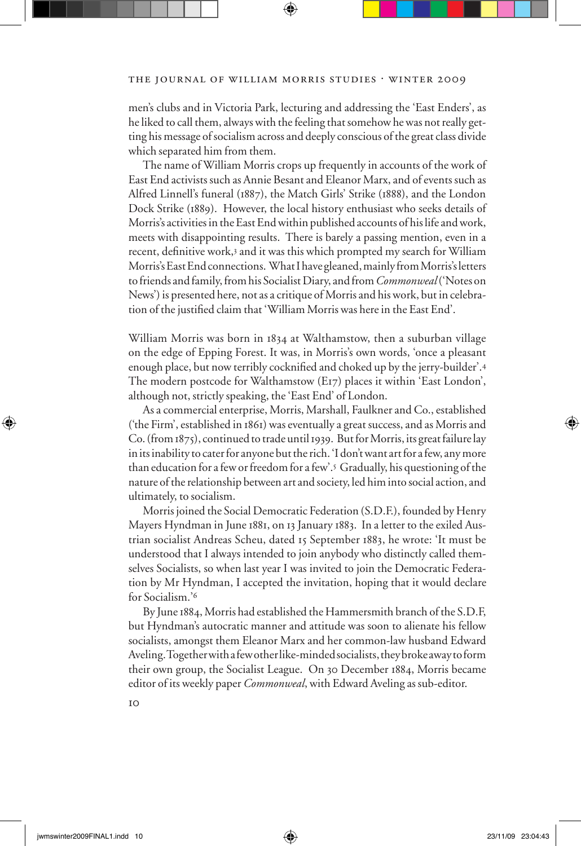men's clubs and in Victoria Park, lecturing and addressing the 'East Enders', as he liked to call them, always with the feeling that somehow he was not really getting his message of socialism across and deeply conscious of the great class divide which separated him from them.

The name of William Morris crops up frequently in accounts of the work of East End activists such as Annie Besant and Eleanor Marx, and of events such as Alfred Linnell's funeral (1887), the Match Girls' Strike (1888), and the London Dock Strike (1889). However, the local history enthusiast who seeks details of Morris's activities in the East End within published accounts of his life and work, meets with disappointing results. There is barely a passing mention, even in a recent, definitive work,<sup>3</sup> and it was this which prompted my search for William Morris's East End connections. What I have gleaned, mainly from Morris's letters to friends and family, from his Socialist Diary, and from *Commonweal* ('Notes on News') is presented here, not as a critique of Morris and his work, but in celebration of the justified claim that 'William Morris was here in the East End'.

William Morris was born in 1834 at Walthamstow, then a suburban village on the edge of Epping Forest. It was, in Morris's own words, 'once a pleasant enough place, but now terribly cocknified and choked up by the jerry-builder'.4 The modern postcode for Walthamstow (E17) places it within 'East London', although not, strictly speaking, the 'East End' of London.

As a commercial enterprise, Morris, Marshall, Faulkner and Co., established ('the Firm', established in 1861) was eventually a great success, and as Morris and Co. (from 1875), continued to trade until 1939. But for Morris, its great failure lay in its inability to cater for anyone but the rich. 'I don't want art for a few, any more than education for a few or freedom for a few'.5 Gradually, his questioning of the nature of the relationship between art and society, led him into social action, and ultimately, to socialism.

Morris joined the Social Democratic Federation (S.D.F.), founded by Henry Mayers Hyndman in June 1881, on 13 January 1883. In a letter to the exiled Austrian socialist Andreas Scheu, dated 15 September 1883, he wrote: 'It must be understood that I always intended to join anybody who distinctly called themselves Socialists, so when last year I was invited to join the Democratic Federation by Mr Hyndman, I accepted the invitation, hoping that it would declare for Socialism.'<sup>6</sup>

By June 1884, Morris had established the Hammersmith branch of the S.D.F, but Hyndman's autocratic manner and attitude was soon to alienate his fellow socialists, amongst them Eleanor Marx and her common-law husband Edward Aveling. Together with a few other like-minded socialists, they broke away to form their own group, the Socialist League. On 30 December 1884, Morris became editor of its weekly paper *Commonweal*, with Edward Aveling as sub-editor.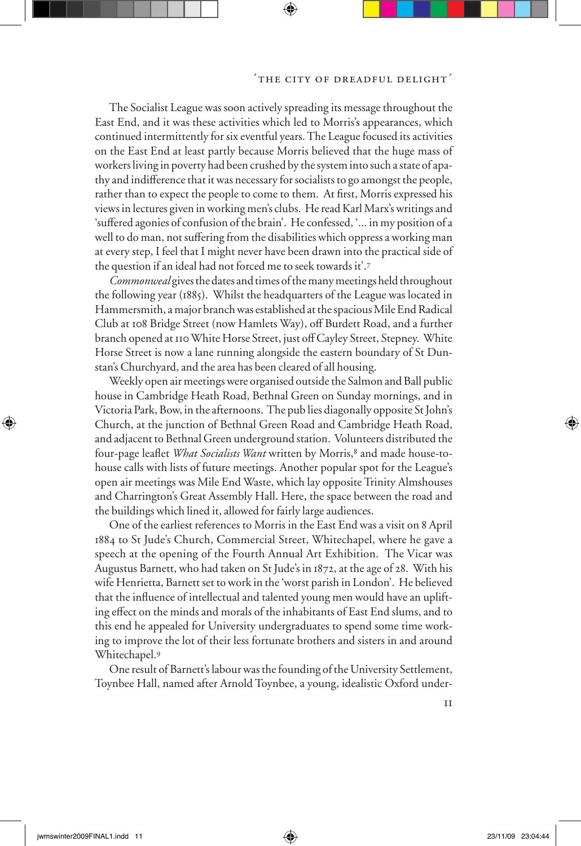The Socialist League was soon actively spreading its message throughout the East End, and it was these activities which led to Morris's appearances, which continued intermittently for six eventful years. The League focused its activities on the East End at least partly because Morris believed that the huge mass of workers living in poverty had been crushed by the system into such a state of apathy and indifference that it was necessary for socialists to go amongst the people, rather than to expect the people to come to them. At first, Morris expressed his views in lectures given in working men's clubs. He read Karl Marx's writings and 'suffered agonies of confusion of the brain'. He confessed, '... in my position of a well to do man, not suffering from the disabilities which oppress a working man at every step, I feel that I might never have been drawn into the practical side of the question if an ideal had not forced me to seek towards it'.<sup>7</sup>

*Commonweal* gives the dates and times of the many meetings held throughout the following year (1885). Whilst the headquarters of the League was located in Hammersmith, a major branch was established at the spacious Mile End Radical Club at 108 Bridge Street (now Hamlets Way), off Burdett Road, and a further branch opened at 110 White Horse Street, just off Cayley Street, Stepney. White Horse Street is now a lane running alongside the eastern boundary of St Dunstan's Churchyard, and the area has been cleared of all housing.

Weekly open air meetings were organised outside the Salmon and Ball public house in Cambridge Heath Road, Bethnal Green on Sunday mornings, and in Victoria Park, Bow, in the afternoons. The pub lies diagonally opposite St John's Church, at the junction of Bethnal Green Road and Cambridge Heath Road, and adjacent to Bethnal Green underground station. Volunteers distributed the four-page leaflet *What Socialists Want* written by Morris,<sup>8</sup> and made house-tohouse calls with lists of future meetings. Another popular spot for the League's open air meetings was Mile End Waste, which lay opposite Trinity Almshouses and Charrington's Great Assembly Hall. Here, the space between the road and the buildings which lined it, allowed for fairly large audiences.

One of the earliest references to Morris in the East End was a visit on 8 April 1884 to St Jude's Church, Commercial Street, Whitechapel, where he gave a speech at the opening of the Fourth Annual Art Exhibition. The Vicar was Augustus Barnett, who had taken on St Jude's in 1872, at the age of 28. With his wife Henrietta, Barnett set to work in the 'worst parish in London'. He believed that the influence of intellectual and talented young men would have an uplifting effect on the minds and morals of the inhabitants of East End slums, and to this end he appealed for University undergraduates to spend some time working to improve the lot of their less fortunate brothers and sisters in and around Whitechapel.<sup>9</sup>

One result of Barnett's labour was the founding of the University Settlement, Toynbee Hall, named after Arnold Toynbee, a young, idealistic Oxford under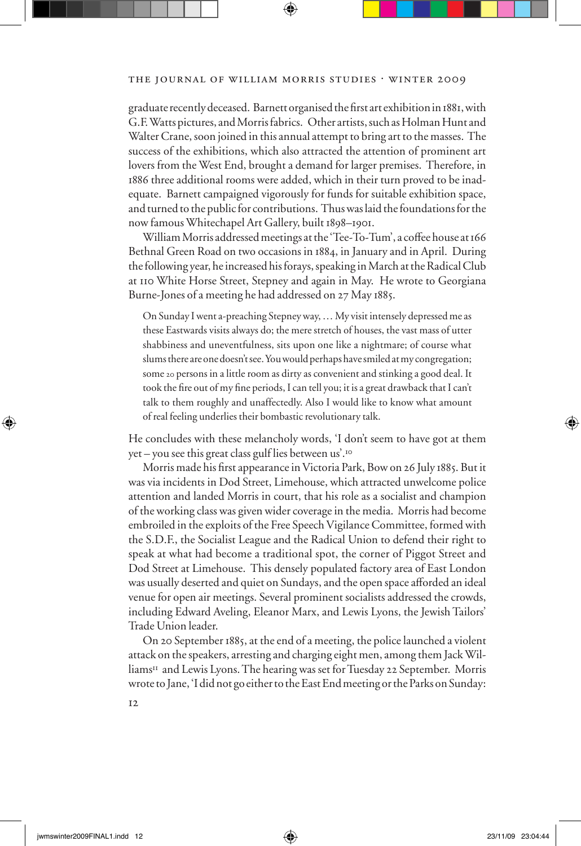graduate recently deceased. Barnett organised the first art exhibition in 1881, with G.F. Watts pictures, and Morris fabrics. Other artists, such as Holman Hunt and Walter Crane, soon joined in this annual attempt to bring art to the masses. The success of the exhibitions, which also attracted the attention of prominent art lovers from the West End, brought a demand for larger premises. Therefore, in 1886 three additional rooms were added, which in their turn proved to be inadequate. Barnett campaigned vigorously for funds for suitable exhibition space, and turned to the public for contributions. Thus was laid the foundations for the now famous Whitechapel Art Gallery, built 1898–1901.

William Morris addressed meetings at the 'Tee-To-Tum', a coffee house at 166 Bethnal Green Road on two occasions in 1884, in January and in April. During the following year, he increased his forays, speaking in March at the Radical Club at 110 White Horse Street, Stepney and again in May. He wrote to Georgiana Burne-Jones of a meeting he had addressed on 27 May 1885.

On Sunday I went a-preaching Stepney way, … My visit intensely depressed me as these Eastwards visits always do; the mere stretch of houses, the vast mass of utter shabbiness and uneventfulness, sits upon one like a nightmare; of course what slums there are one doesn't see. You would perhaps have smiled at my congregation; some 20 persons in a little room as dirty as convenient and stinking a good deal. It took the fire out of my fine periods, I can tell you; it is a great drawback that I can't talk to them roughly and unaffectedly. Also I would like to know what amount of real feeling underlies their bombastic revolutionary talk.

He concludes with these melancholy words, 'I don't seem to have got at them yet – you see this great class gulf lies between us'.<sup>10</sup>

Morris made his first appearance in Victoria Park, Bow on 26 July 1885. But it was via incidents in Dod Street, Limehouse, which attracted unwelcome police attention and landed Morris in court, that his role as a socialist and champion of the working class was given wider coverage in the media. Morris had become embroiled in the exploits of the Free Speech Vigilance Committee, formed with the S.D.F., the Socialist League and the Radical Union to defend their right to speak at what had become a traditional spot, the corner of Piggot Street and Dod Street at Limehouse. This densely populated factory area of East London was usually deserted and quiet on Sundays, and the open space afforded an ideal venue for open air meetings. Several prominent socialists addressed the crowds, including Edward Aveling, Eleanor Marx, and Lewis Lyons, the Jewish Tailors' Trade Union leader.

On 20 September 1885, at the end of a meeting, the police launched a violent attack on the speakers, arresting and charging eight men, among them Jack Williams<sup>11</sup> and Lewis Lyons. The hearing was set for Tuesday 22 September. Morris wrote to Jane, 'I did not go either to the East End meeting or the Parks on Sunday: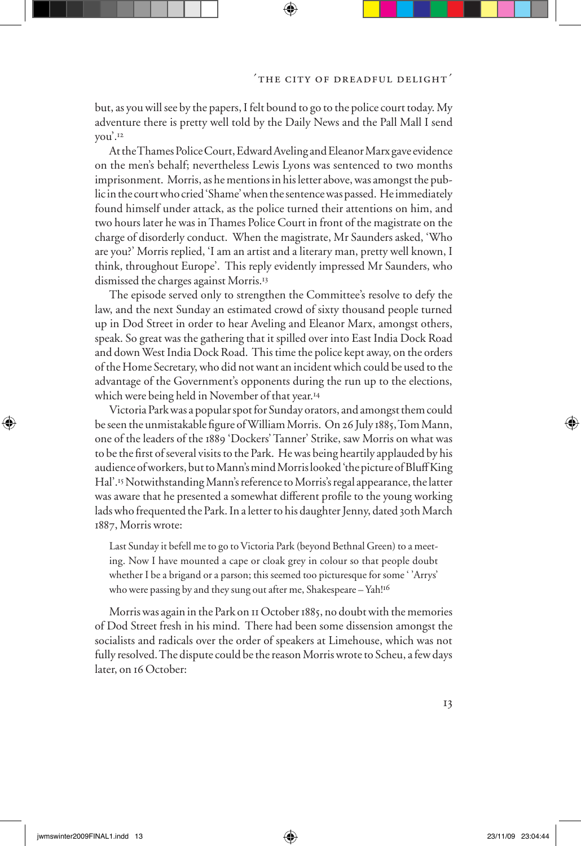but, as you will see by the papers, I felt bound to go to the police court today. My adventure there is pretty well told by the Daily News and the Pall Mall I send you'.<sup>12</sup>

At the Thames Police Court, Edward Aveling and Eleanor Marx gave evidence on the men's behalf; nevertheless Lewis Lyons was sentenced to two months imprisonment. Morris, as he mentions in his letter above, was amongst the public in the court who cried 'Shame' when the sentence was passed. He immediately found himself under attack, as the police turned their attentions on him, and two hours later he was in Thames Police Court in front of the magistrate on the charge of disorderly conduct. When the magistrate, Mr Saunders asked, 'Who are you?' Morris replied, 'I am an artist and a literary man, pretty well known, I think, throughout Europe'. This reply evidently impressed Mr Saunders, who dismissed the charges against Morris.<sup>13</sup>

The episode served only to strengthen the Committee's resolve to defy the law, and the next Sunday an estimated crowd of sixty thousand people turned up in Dod Street in order to hear Aveling and Eleanor Marx, amongst others, speak. So great was the gathering that it spilled over into East India Dock Road and down West India Dock Road. This time the police kept away, on the orders of the Home Secretary, who did not want an incident which could be used to the advantage of the Government's opponents during the run up to the elections, which were being held in November of that year.<sup>14</sup>

Victoria Park was a popular spot for Sunday orators, and amongst them could be seen the unmistakable figure of William Morris. On 26 July 1885, Tom Mann, one of the leaders of the 1889 'Dockers' Tanner' Strike, saw Morris on what was to be the first of several visits to the Park. He was being heartily applauded by his audience of workers, but to Mann's mind Morris looked 'the picture of Bluff King Hal'.15Notwithstanding Mann's reference to Morris's regal appearance, the latter was aware that he presented a somewhat different profile to the young working lads who frequented the Park. In a letter to his daughter Jenny, dated 30th March 1887, Morris wrote:

Last Sunday it befell me to go to Victoria Park (beyond Bethnal Green) to a meeting. Now I have mounted a cape or cloak grey in colour so that people doubt whether I be a brigand or a parson; this seemed too picturesque for some ' 'Arrys' who were passing by and they sung out after me, Shakespeare - Yah!<sup>16</sup>

Morris was again in the Park on 11 October 1885, no doubt with the memories of Dod Street fresh in his mind. There had been some dissension amongst the socialists and radicals over the order of speakers at Limehouse, which was not fully resolved. The dispute could be the reason Morris wrote to Scheu, a few days later, on 16 October: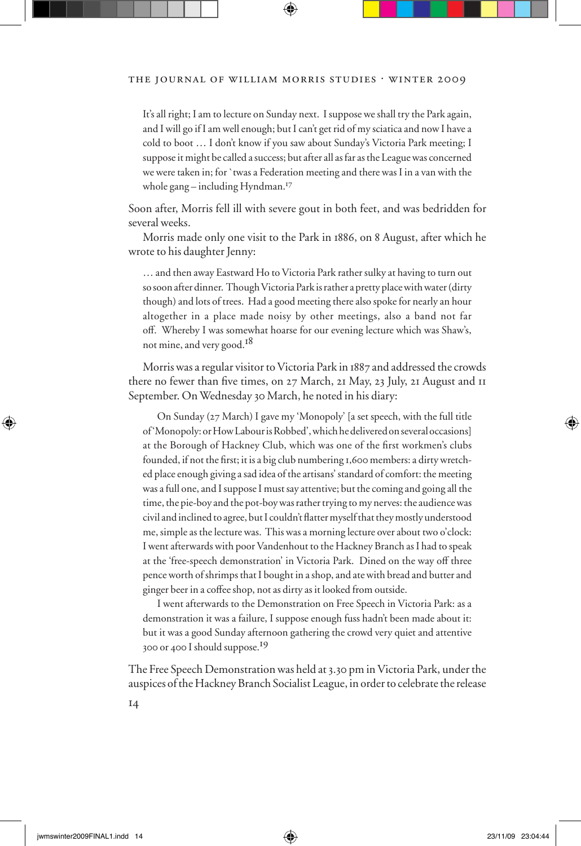It's all right; I am to lecture on Sunday next. I suppose we shall try the Park again, and I will go if I am well enough; but I can't get rid of my sciatica and now I have a cold to boot … I don't know if you saw about Sunday's Victoria Park meeting; I suppose it might be called a success; but after all as far as the League was concerned we were taken in; for `twas a Federation meeting and there was I in a van with the whole gang – including Hyndman.<sup>17</sup>

Soon after, Morris fell ill with severe gout in both feet, and was bedridden for several weeks.

Morris made only one visit to the Park in 1886, on 8 August, after which he wrote to his daughter Jenny:

… and then away Eastward Ho to Victoria Park rather sulky at having to turn out so soon after dinner. Though Victoria Park is rather a pretty place with water (dirty though) and lots of trees. Had a good meeting there also spoke for nearly an hour altogether in a place made noisy by other meetings, also a band not far off. Whereby I was somewhat hoarse for our evening lecture which was Shaw's, not mine, and very good.<sup>18</sup>

Morris was a regular visitor to Victoria Park in 1887 and addressed the crowds there no fewer than five times, on  $27$  March,  $21$  May,  $23$  July,  $21$  August and  $11$ September. On Wednesday 30 March, he noted in his diary:

On Sunday (27 March) I gave my 'Monopoly' [a set speech, with the full title of 'Monopoly: or How Labour is Robbed', which he delivered on several occasions] at the Borough of Hackney Club, which was one of the first workmen's clubs founded, if not the first; it is a big club numbering 1,600 members: a dirty wretched place enough giving a sad idea of the artisans' standard of comfort: the meeting was a full one, and I suppose I must say attentive; but the coming and going all the time, the pie-boy and the pot-boy was rather trying to my nerves: the audience was civil and inclined to agree, but I couldn't flatter myself that they mostly understood me, simple as the lecture was. This was a morning lecture over about two o'clock: I went afterwards with poor Vandenhout to the Hackney Branch as I had to speak at the 'free-speech demonstration' in Victoria Park. Dined on the way off three pence worth of shrimps that I bought in a shop, and ate with bread and butter and ginger beer in a coffee shop, not as dirty as it looked from outside.

I went afterwards to the Demonstration on Free Speech in Victoria Park: as a demonstration it was a failure, I suppose enough fuss hadn't been made about it: but it was a good Sunday afternoon gathering the crowd very quiet and attentive 300 or 400 I should suppose.19

The Free Speech Demonstration was held at 3.30 pm in Victoria Park, under the auspices of the Hackney Branch Socialist League, in order to celebrate the release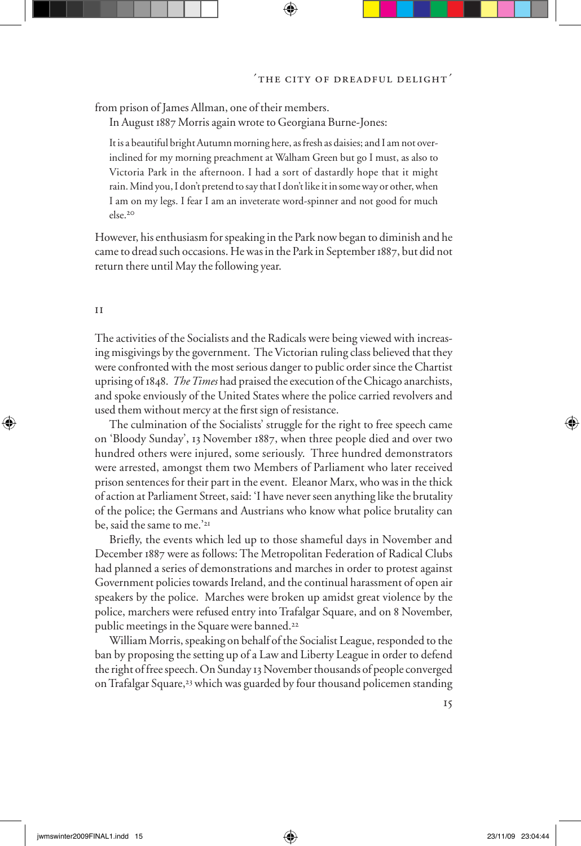from prison of James Allman, one of their members.

In August 1887 Morris again wrote to Georgiana Burne-Jones:

It is a beautiful bright Autumn morning here, as fresh as daisies; and I am not overinclined for my morning preachment at Walham Green but go I must, as also to Victoria Park in the afternoon. I had a sort of dastardly hope that it might rain. Mind you, I don't pretend to say that I don't like it in some way or other, when I am on my legs. I fear I am an inveterate word-spinner and not good for much else.<sup>20</sup>

However, his enthusiasm for speaking in the Park now began to diminish and he came to dread such occasions. He was in the Park in September 1887, but did not return there until May the following year.

#### ii

The activities of the Socialists and the Radicals were being viewed with increasing misgivings by the government. The Victorian ruling class believed that they were confronted with the most serious danger to public order since the Chartist uprising of 1848. *The Times* had praised the execution of the Chicago anarchists, and spoke enviously of the United States where the police carried revolvers and used them without mercy at the first sign of resistance.

The culmination of the Socialists' struggle for the right to free speech came on 'Bloody Sunday', 13 November 1887, when three people died and over two hundred others were injured, some seriously. Three hundred demonstrators were arrested, amongst them two Members of Parliament who later received prison sentences for their part in the event. Eleanor Marx, who was in the thick of action at Parliament Street, said: 'I have never seen anything like the brutality of the police; the Germans and Austrians who know what police brutality can be, said the same to me.'<sup>21</sup>

Briefly, the events which led up to those shameful days in November and December 1887 were as follows: The Metropolitan Federation of Radical Clubs had planned a series of demonstrations and marches in order to protest against Government policies towards Ireland, and the continual harassment of open air speakers by the police. Marches were broken up amidst great violence by the police, marchers were refused entry into Trafalgar Square, and on 8 November, public meetings in the Square were banned.<sup>22</sup>

William Morris, speaking on behalf of the Socialist League, responded to the ban by proposing the setting up of a Law and Liberty League in order to defend the right of free speech. On Sunday 13 November thousands of people converged on Trafalgar Square,<sup>23</sup> which was guarded by four thousand policemen standing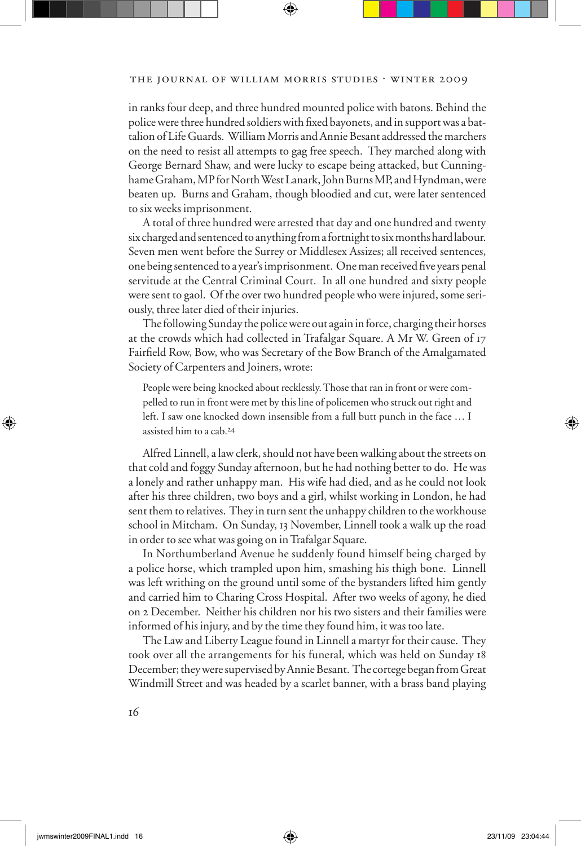in ranks four deep, and three hundred mounted police with batons. Behind the police were three hundred soldiers with fixed bayonets, and in support was a battalion of Life Guards. William Morris and Annie Besant addressed the marchers on the need to resist all attempts to gag free speech. They marched along with George Bernard Shaw, and were lucky to escape being attacked, but Cunninghame Graham, MP for North West Lanark, John Burns MP, and Hyndman, were beaten up. Burns and Graham, though bloodied and cut, were later sentenced to six weeks imprisonment.

A total of three hundred were arrested that day and one hundred and twenty six charged and sentenced to anything from a fortnight to six months hard labour. Seven men went before the Surrey or Middlesex Assizes; all received sentences, one being sentenced to a year's imprisonment. One man received five years penal servitude at the Central Criminal Court. In all one hundred and sixty people were sent to gaol. Of the over two hundred people who were injured, some seriously, three later died of their injuries.

The following Sunday the police were out again in force, charging their horses at the crowds which had collected in Trafalgar Square. A Mr W. Green of 17 Fairfield Row, Bow, who was Secretary of the Bow Branch of the Amalgamated Society of Carpenters and Joiners, wrote:

People were being knocked about recklessly. Those that ran in front or were compelled to run in front were met by this line of policemen who struck out right and left. I saw one knocked down insensible from a full butt punch in the face … I assisted him to a cab.24

Alfred Linnell, a law clerk, should not have been walking about the streets on that cold and foggy Sunday afternoon, but he had nothing better to do. He was a lonely and rather unhappy man. His wife had died, and as he could not look after his three children, two boys and a girl, whilst working in London, he had sent them to relatives. They in turn sent the unhappy children to the workhouse school in Mitcham. On Sunday, 13 November, Linnell took a walk up the road in order to see what was going on in Trafalgar Square.

In Northumberland Avenue he suddenly found himself being charged by a police horse, which trampled upon him, smashing his thigh bone. Linnell was left writhing on the ground until some of the bystanders lifted him gently and carried him to Charing Cross Hospital. After two weeks of agony, he died on 2 December. Neither his children nor his two sisters and their families were informed of his injury, and by the time they found him, it was too late.

The Law and Liberty League found in Linnell a martyr for their cause. They took over all the arrangements for his funeral, which was held on Sunday 18 December; they were supervised by Annie Besant. The cortege began from Great Windmill Street and was headed by a scarlet banner, with a brass band playing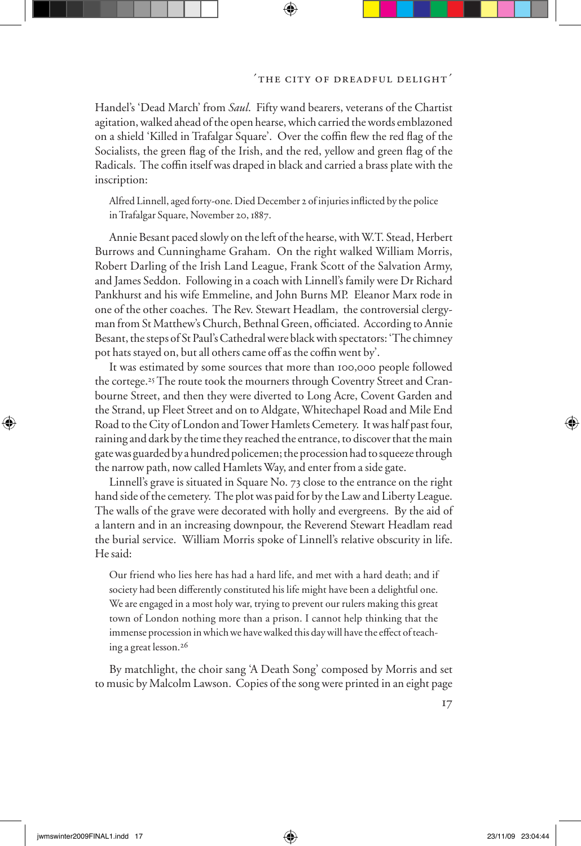Handel's 'Dead March' from *Saul*. Fifty wand bearers, veterans of the Chartist agitation, walked ahead of the open hearse, which carried the words emblazoned on a shield 'Killed in Trafalgar Square'. Over the coffin flew the red flag of the Socialists, the green flag of the Irish, and the red, yellow and green flag of the Radicals. The coffin itself was draped in black and carried a brass plate with the inscription:

Alfred Linnell, aged forty-one. Died December 2 of injuries inflicted by the police in Trafalgar Square, November 20, 1887.

Annie Besant paced slowly on the left of the hearse, with W.T. Stead, Herbert Burrows and Cunninghame Graham. On the right walked William Morris, Robert Darling of the Irish Land League, Frank Scott of the Salvation Army, and James Seddon. Following in a coach with Linnell's family were Dr Richard Pankhurst and his wife Emmeline, and John Burns MP. Eleanor Marx rode in one of the other coaches. The Rev. Stewart Headlam, the controversial clergyman from St Matthew's Church, Bethnal Green, officiated. According to Annie Besant, the steps of St Paul's Cathedral were black with spectators: 'The chimney pot hats stayed on, but all others came off as the coffin went by'.

It was estimated by some sources that more than 100,000 people followed the cortege.25The route took the mourners through Coventry Street and Cranbourne Street, and then they were diverted to Long Acre, Covent Garden and the Strand, up Fleet Street and on to Aldgate, Whitechapel Road and Mile End Road to the City of London and Tower Hamlets Cemetery. It was half past four, raining and dark by the time they reached the entrance, to discover that the main gate was guarded by a hundred policemen; the procession had to squeeze through the narrow path, now called Hamlets Way, and enter from a side gate.

Linnell's grave is situated in Square No. 73 close to the entrance on the right hand side of the cemetery. The plot was paid for by the Law and Liberty League. The walls of the grave were decorated with holly and evergreens. By the aid of a lantern and in an increasing downpour, the Reverend Stewart Headlam read the burial service. William Morris spoke of Linnell's relative obscurity in life. He said:

Our friend who lies here has had a hard life, and met with a hard death; and if society had been differently constituted his life might have been a delightful one. We are engaged in a most holy war, trying to prevent our rulers making this great town of London nothing more than a prison. I cannot help thinking that the immense procession in which we have walked this day will have the effect of teaching a great lesson.26

By matchlight, the choir sang 'A Death Song' composed by Morris and set to music by Malcolm Lawson. Copies of the song were printed in an eight page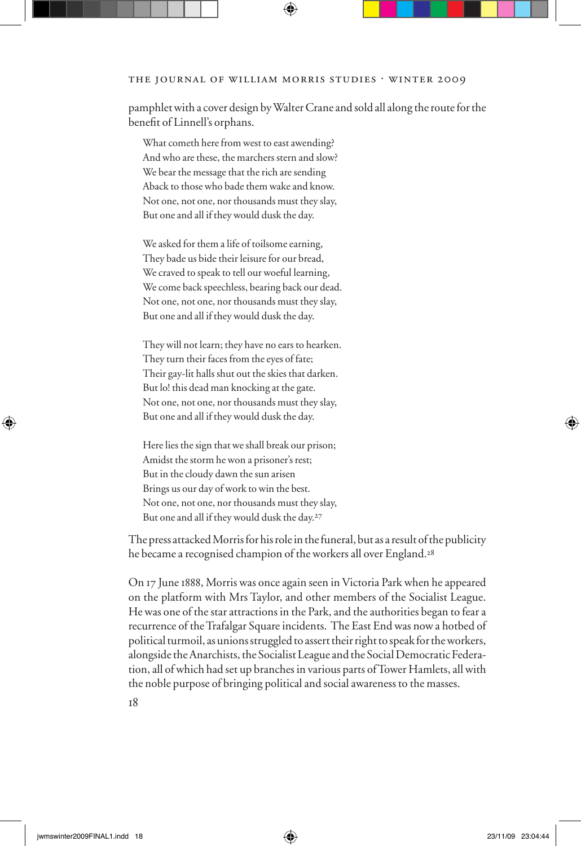#### THE JOURNAL OF WILLIAM MORRIS STUDIES . WINTER 2009

pamphlet with a cover design by Walter Crane and sold all along the route for the benefit of Linnell's orphans.

What cometh here from west to east awending? And who are these, the marchers stern and slow? We bear the message that the rich are sending Aback to those who bade them wake and know. Not one, not one, nor thousands must they slay, But one and all if they would dusk the day.

We asked for them a life of toilsome earning, They bade us bide their leisure for our bread, We craved to speak to tell our woeful learning, We come back speechless, bearing back our dead. Not one, not one, nor thousands must they slay, But one and all if they would dusk the day.

They will not learn; they have no ears to hearken. They turn their faces from the eyes of fate; Their gay-lit halls shut out the skies that darken. But lo! this dead man knocking at the gate. Not one, not one, nor thousands must they slay, But one and all if they would dusk the day.

Here lies the sign that we shall break our prison; Amidst the storm he won a prisoner's rest; But in the cloudy dawn the sun arisen Brings us our day of work to win the best. Not one, not one, nor thousands must they slay, But one and all if they would dusk the day.27

The press attacked Morris for his role in the funeral, but as a result of the publicity he became a recognised champion of the workers all over England.<sup>28</sup>

On 17 June 1888, Morris was once again seen in Victoria Park when he appeared on the platform with Mrs Taylor, and other members of the Socialist League. He was one of the star attractions in the Park, and the authorities began to fear a recurrence of the Trafalgar Square incidents. The East End was now a hotbed of political turmoil, as unions struggled to assert their right to speak for the workers, alongside the Anarchists, the Socialist League and the Social Democratic Federation, all of which had set up branches in various parts of Tower Hamlets, all with the noble purpose of bringing political and social awareness to the masses.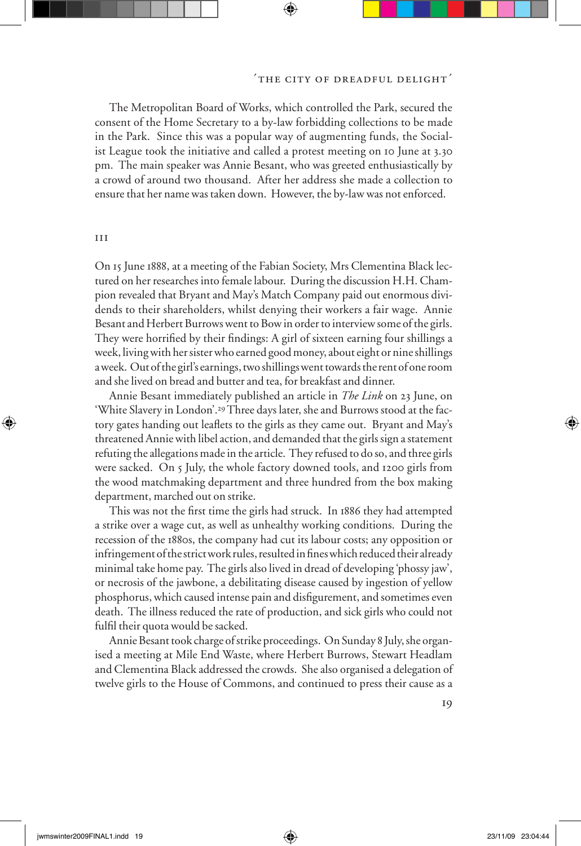#### 'the city of dreadful delight'

The Metropolitan Board of Works, which controlled the Park, secured the consent of the Home Secretary to a by-law forbidding collections to be made in the Park. Since this was a popular way of augmenting funds, the Socialist League took the initiative and called a protest meeting on 10 June at 3.30 pm. The main speaker was Annie Besant, who was greeted enthusiastically by a crowd of around two thousand. After her address she made a collection to ensure that her name was taken down. However, the by-law was not enforced.

#### iii

On 15 June 1888, at a meeting of the Fabian Society, Mrs Clementina Black lectured on her researches into female labour. During the discussion H.H. Champion revealed that Bryant and May's Match Company paid out enormous dividends to their shareholders, whilst denying their workers a fair wage. Annie Besant and Herbert Burrows went to Bow in order to interview some of the girls. They were horrified by their findings: A girl of sixteen earning four shillings a week, living with her sister who earned good money, about eight or nine shillings a week. Out of the girl's earnings, two shillings went towards the rent of one room and she lived on bread and butter and tea, for breakfast and dinner.

Annie Besant immediately published an article in *The Link* on 23 June, on 'White Slavery in London'.29Three days later, she and Burrows stood at the factory gates handing out leaflets to the girls as they came out. Bryant and May's threatened Annie with libel action, and demanded that the girls sign a statement refuting the allegations made in the article. They refused to do so, and three girls were sacked. On 5 July, the whole factory downed tools, and 1200 girls from the wood matchmaking department and three hundred from the box making department, marched out on strike.

This was not the first time the girls had struck. In 1886 they had attempted a strike over a wage cut, as well as unhealthy working conditions. During the recession of the 1880s, the company had cut its labour costs; any opposition or infringement of the strict work rules, resulted in fines which reduced their already minimal take home pay. The girls also lived in dread of developing 'phossy jaw', or necrosis of the jawbone, a debilitating disease caused by ingestion of yellow phosphorus, which caused intense pain and disfigurement, and sometimes even death. The illness reduced the rate of production, and sick girls who could not fulfil their quota would be sacked.

Annie Besant took charge of strike proceedings. On Sunday 8 July, she organised a meeting at Mile End Waste, where Herbert Burrows, Stewart Headlam and Clementina Black addressed the crowds. She also organised a delegation of twelve girls to the House of Commons, and continued to press their cause as a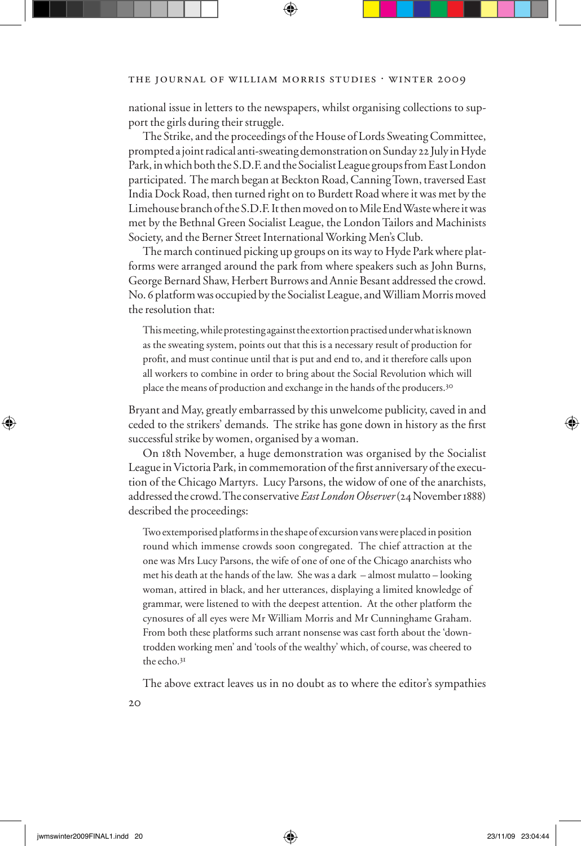national issue in letters to the newspapers, whilst organising collections to support the girls during their struggle.

The Strike, and the proceedings of the House of Lords Sweating Committee, prompted a joint radical anti-sweating demonstration on Sunday 22 July in Hyde Park, in which both the S.D.F. and the Socialist League groups from East London participated. The march began at Beckton Road, Canning Town, traversed East India Dock Road, then turned right on to Burdett Road where it was met by the Limehouse branch of the S.D.F. It then moved on to Mile End Waste where it was met by the Bethnal Green Socialist League, the London Tailors and Machinists Society, and the Berner Street International Working Men's Club.

The march continued picking up groups on its way to Hyde Park where platforms were arranged around the park from where speakers such as John Burns, George Bernard Shaw, Herbert Burrows and Annie Besant addressed the crowd. No. 6 platform was occupied by the Socialist League, and William Morris moved the resolution that:

This meeting, while protesting against the extortion practised under what is known as the sweating system, points out that this is a necessary result of production for profit, and must continue until that is put and end to, and it therefore calls upon all workers to combine in order to bring about the Social Revolution which will place the means of production and exchange in the hands of the producers.30

Bryant and May, greatly embarrassed by this unwelcome publicity, caved in and ceded to the strikers' demands. The strike has gone down in history as the first successful strike by women, organised by a woman.

On 18th November, a huge demonstration was organised by the Socialist League in Victoria Park, in commemoration of the first anniversary of the execution of the Chicago Martyrs. Lucy Parsons, the widow of one of the anarchists, addressed the crowd. The conservative *East London Observer* (24 November 1888) described the proceedings:

Two extemporised platforms in the shape of excursion vans were placed in position round which immense crowds soon congregated. The chief attraction at the one was Mrs Lucy Parsons, the wife of one of one of the Chicago anarchists who met his death at the hands of the law. She was a dark – almost mulatto – looking woman, attired in black, and her utterances, displaying a limited knowledge of grammar, were listened to with the deepest attention. At the other platform the cynosures of all eyes were Mr William Morris and Mr Cunninghame Graham. From both these platforms such arrant nonsense was cast forth about the 'downtrodden working men' and 'tools of the wealthy' which, of course, was cheered to the echo.31

The above extract leaves us in no doubt as to where the editor's sympathies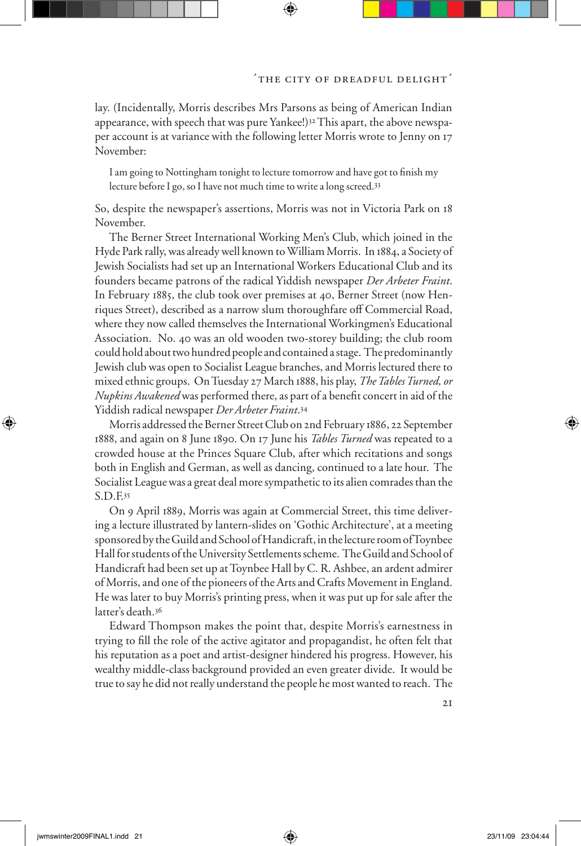lay. (Incidentally, Morris describes Mrs Parsons as being of American Indian appearance, with speech that was pure Yankee!)32This apart, the above newspaper account is at variance with the following letter Morris wrote to Jenny on 17 November:

I am going to Nottingham tonight to lecture tomorrow and have got to finish my lecture before I go, so I have not much time to write a long screed.33

So, despite the newspaper's assertions, Morris was not in Victoria Park on 18 November.

The Berner Street International Working Men's Club, which joined in the Hyde Park rally, was already well known to William Morris. In 1884, a Society of Jewish Socialists had set up an International Workers Educational Club and its founders became patrons of the radical Yiddish newspaper *Der Arbeter Fraint*. In February 1885, the club took over premises at 40, Berner Street (now Henriques Street), described as a narrow slum thoroughfare off Commercial Road, where they now called themselves the International Workingmen's Educational Association. No. 40 was an old wooden two-storey building; the club room could hold about two hundred people and contained a stage. The predominantly Jewish club was open to Socialist League branches, and Morris lectured there to mixed ethnic groups. On Tuesday 27 March 1888, his play, *The Tables Turned, or Nupkins Awakened* was performed there, as part of a benefit concert in aid of the Yiddish radical newspaper *Der Arbeter Fraint*.<sup>34</sup>

Morris addressed the Berner Street Club on 2nd February 1886, 22 September 1888, and again on 8 June 1890. On 17 June his *Tables Turned* was repeated to a crowded house at the Princes Square Club, after which recitations and songs both in English and German, as well as dancing, continued to a late hour. The Socialist League was a great deal more sympathetic to its alien comrades than the S.D.F.<sup>35</sup>

On 9 April 1889, Morris was again at Commercial Street, this time delivering a lecture illustrated by lantern-slides on 'Gothic Architecture', at a meeting sponsored by the Guild and School of Handicraft, in the lecture room of Toynbee Hall for students of the University Settlements scheme. The Guild and School of Handicraft had been set up at Toynbee Hall by C. R. Ashbee, an ardent admirer of Morris, and one of the pioneers of the Arts and Crafts Movement in England. He was later to buy Morris's printing press, when it was put up for sale after the latter's death.<sup>36</sup>

Edward Thompson makes the point that, despite Morris's earnestness in trying to fill the role of the active agitator and propagandist, he often felt that his reputation as a poet and artist-designer hindered his progress. However, his wealthy middle-class background provided an even greater divide. It would be true to say he did not really understand the people he most wanted to reach. The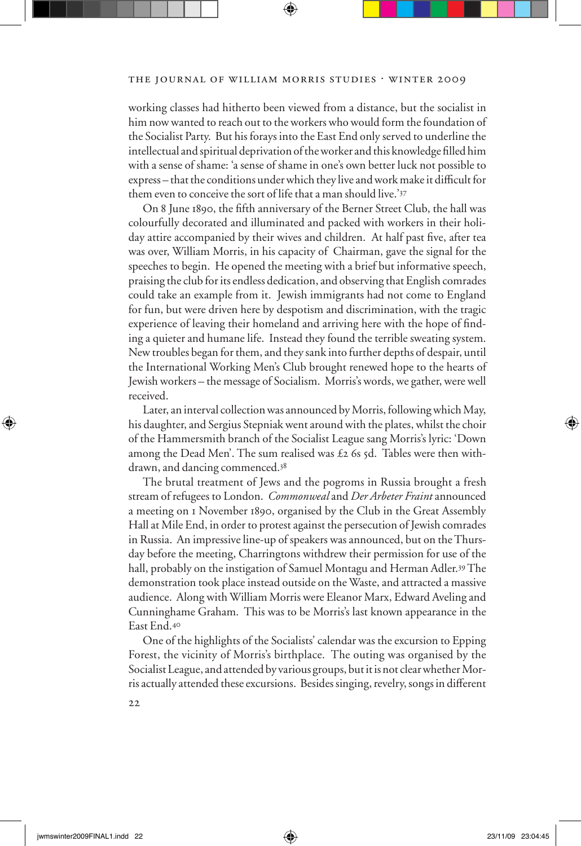#### THE JOURNAL OF WILLIAM MORRIS STUDIES . WINTER 2009

working classes had hitherto been viewed from a distance, but the socialist in him now wanted to reach out to the workers who would form the foundation of the Socialist Party. But his forays into the East End only served to underline the intellectual and spiritual deprivation of the worker and this knowledge filled him with a sense of shame: 'a sense of shame in one's own better luck not possible to express – that the conditions under which they live and work make it difficult for them even to conceive the sort of life that a man should live.'<sup>37</sup>

On 8 June 1890, the fifth anniversary of the Berner Street Club, the hall was colourfully decorated and illuminated and packed with workers in their holiday attire accompanied by their wives and children. At half past five, after tea was over, William Morris, in his capacity of Chairman, gave the signal for the speeches to begin. He opened the meeting with a brief but informative speech, praising the club for its endless dedication, and observing that English comrades could take an example from it. Jewish immigrants had not come to England for fun, but were driven here by despotism and discrimination, with the tragic experience of leaving their homeland and arriving here with the hope of finding a quieter and humane life. Instead they found the terrible sweating system. New troubles began for them, and they sank into further depths of despair, until the International Working Men's Club brought renewed hope to the hearts of Jewish workers – the message of Socialism. Morris's words, we gather, were well received.

Later, an interval collection was announced by Morris, following which May, his daughter, and Sergius Stepniak went around with the plates, whilst the choir of the Hammersmith branch of the Socialist League sang Morris's lyric: 'Down among the Dead Men'. The sum realised was  $\pounds$  2 6s 5d. Tables were then withdrawn, and dancing commenced.<sup>38</sup>

The brutal treatment of Jews and the pogroms in Russia brought a fresh stream of refugees to London. *Commonweal* and *Der Arbeter Fraint* announced a meeting on 1 November 1890, organised by the Club in the Great Assembly Hall at Mile End, in order to protest against the persecution of Jewish comrades in Russia. An impressive line-up of speakers was announced, but on the Thursday before the meeting, Charringtons withdrew their permission for use of the hall, probably on the instigation of Samuel Montagu and Herman Adler.39 The demonstration took place instead outside on the Waste, and attracted a massive audience. Along with William Morris were Eleanor Marx, Edward Aveling and Cunninghame Graham. This was to be Morris's last known appearance in the East End.<sup>40</sup>

One of the highlights of the Socialists' calendar was the excursion to Epping Forest, the vicinity of Morris's birthplace. The outing was organised by the Socialist League, and attended by various groups, but it is not clear whether Morris actually attended these excursions. Besides singing, revelry, songs in different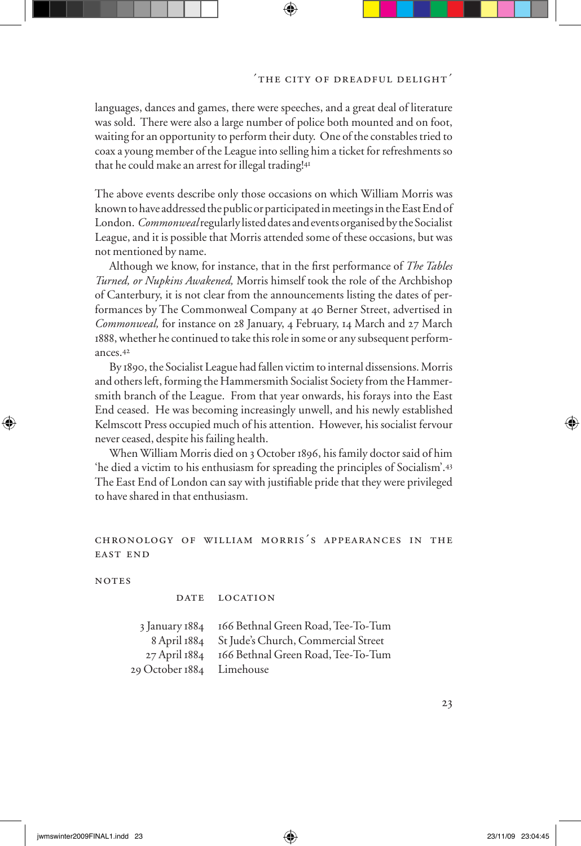languages, dances and games, there were speeches, and a great deal of literature was sold. There were also a large number of police both mounted and on foot, waiting for an opportunity to perform their duty. One of the constables tried to coax a young member of the League into selling him a ticket for refreshments so that he could make an arrest for illegal trading!<sup>41</sup>

The above events describe only those occasions on which William Morris was known to have addressed the public or participated in meetings in the East End of London. *Commonweal* regularly listed dates and events organised by the Socialist League, and it is possible that Morris attended some of these occasions, but was not mentioned by name.

Although we know, for instance, that in the first performance of *The Tables Turned, or Nupkins Awakened,* Morris himself took the role of the Archbishop of Canterbury, it is not clear from the announcements listing the dates of performances by The Commonweal Company at 40 Berner Street, advertised in *Commonweal,* for instance on 28 January, 4 February, 14 March and 27 March 1888,whether he continued to take this role in some or any subsequent performances.<sup>42</sup>

By 1890, the Socialist League had fallen victim to internal dissensions. Morris and others left, forming the Hammersmith Socialist Society from the Hammersmith branch of the League. From that year onwards, his forays into the East End ceased. He was becoming increasingly unwell, and his newly established Kelmscott Press occupied much of his attention. However, his socialist fervour never ceased, despite his failing health.

When William Morris died on 3 October 1896, his family doctor said of him 'he died a victim to his enthusiasm for spreading the principles of Socialism'.<sup>43</sup> The East End of London can say with justifiable pride that they were privileged to have shared in that enthusiasm.

## chronology of william morris's appearances in the east end

**NOTES** 

DATE LOCATION

| 3 January 1884            | 166 Bethnal Green Road, Tee-To-Tum  |
|---------------------------|-------------------------------------|
| 8 April 1884              | St Jude's Church, Commercial Street |
| 27 April 1884             | 166 Bethnal Green Road, Tee-To-Tum  |
| 29 October 1884 Limehouse |                                     |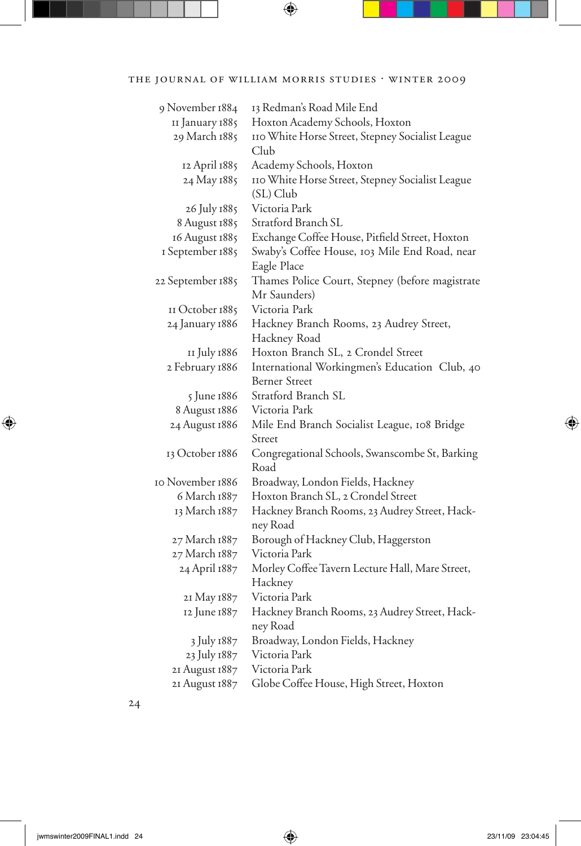| 9 November 1884   | 13 Redman's Road Mile End                        |
|-------------------|--------------------------------------------------|
| II January 1885   | Hoxton Academy Schools, Hoxton                   |
| 29 March 1885     | 110 White Horse Street, Stepney Socialist League |
|                   | Club                                             |
| 12 April 1885     | Academy Schools, Hoxton                          |
| 24 May 1885       | 110 White Horse Street, Stepney Socialist League |
|                   | (SL) Club                                        |
| 26 July 1885      | Victoria Park                                    |
| 8 August 1885     | Stratford Branch SL                              |
| 16 August 1885    | Exchange Coffee House, Pitfield Street, Hoxton   |
| I September 1885  | Swaby's Coffee House, 103 Mile End Road, near    |
|                   | Eagle Place                                      |
| 22 September 1885 | Thames Police Court, Stepney (before magistrate  |
|                   | Mr Saunders)                                     |
| II October 1885   | Victoria Park                                    |
| 24 January 1886   | Hackney Branch Rooms, 23 Audrey Street,          |
|                   | Hackney Road                                     |
| II July 1886      | Hoxton Branch SL, 2 Crondel Street               |
| 2 February 1886   | International Workingmen's Education Club, 40    |
|                   | Berner Street                                    |
| 5 June 1886       | Stratford Branch SL                              |
| 8 August 1886     | Victoria Park                                    |
| 24 August 1886    | Mile End Branch Socialist League, 108 Bridge     |
|                   | Street                                           |
| 13 October 1886   | Congregational Schools, Swanscombe St, Barking   |
|                   | Road                                             |
| IO November 1886  | Broadway, London Fields, Hackney                 |
| 6 March 1887      | Hoxton Branch SL, 2 Crondel Street               |
| 13 March 1887     | Hackney Branch Rooms, 23 Audrey Street, Hack-    |
|                   | ney Road                                         |
| 27 March 1887     | Borough of Hackney Club, Haggerston              |
| 27 March 1887     | Victoria Park                                    |
| 24 April 1887     | Morley Coffee Tavern Lecture Hall, Mare Street,  |
|                   | Hackney                                          |
| 21 May 1887       | Victoria Park                                    |
| 12 June 1887      | Hackney Branch Rooms, 23 Audrey Street, Hack-    |
|                   | ney Road                                         |
| 3 July 1887       | Broadway, London Fields, Hackney                 |
| 23 July 1887      | Victoria Park                                    |
| 21 August 1887    | Victoria Park                                    |
| 21 August 1887    | Globe Coffee House, High Street, Hoxton          |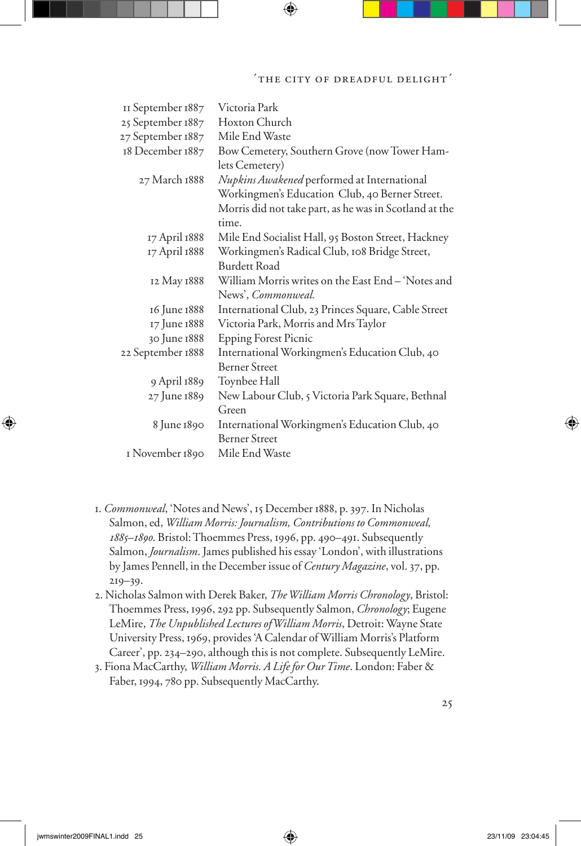### 'the city of dreadful delight'

| II September 1887 | Victoria Park                                          |
|-------------------|--------------------------------------------------------|
| 25 September 1887 | Hoxton Church                                          |
| 27 September 1887 | Mile End Waste                                         |
| 18 December 1887  | Bow Cemetery, Southern Grove (now Tower Ham-           |
|                   | lets Cemetery)                                         |
| 27 March 1888     | Nupkins Awakened performed at International            |
|                   | Workingmen's Education Club, 40 Berner Street.         |
|                   | Morris did not take part, as he was in Scotland at the |
|                   | time.                                                  |
| 17 April 1888     | Mile End Socialist Hall, 95 Boston Street, Hackney     |
| 17 April 1888     | Workingmen's Radical Club, 108 Bridge Street,          |
|                   | <b>Burdett Road</b>                                    |
| 12 May 1888       | William Morris writes on the East End - 'Notes and     |
|                   | News', Commonweal.                                     |
| 16 June 1888      | International Club, 23 Princes Square, Cable Street    |
| 17 June 1888      | Victoria Park, Morris and Mrs Taylor                   |
| 30 June 1888      | <b>Epping Forest Picnic</b>                            |
| 22 September 1888 | International Workingmen's Education Club, 40          |
|                   | <b>Berner Street</b>                                   |
| 9 April 1889      | Toynbee Hall                                           |
| 27 June 1889      | New Labour Club, 5 Victoria Park Square, Bethnal       |
|                   | Green                                                  |
| 8 June 1890       | International Workingmen's Education Club, 40          |
|                   | <b>Berner Street</b>                                   |
| I November 1890   | Mile End Waste                                         |

- 1. *Commonweal*, 'Notes and News', 15 December 1888, p. 397. In Nicholas Salmon, ed, *William Morris: Journalism, Contributions to Commonweal, 1885–1890*. Bristol: Thoemmes Press, 1996, pp. 490–491. Subsequently Salmon, *Journalism*. James published his essay 'London', with illustrations by James Pennell, in the December issue of *Century Magazine*, vol. 37, pp. 219–39.
- 2. Nicholas Salmon with Derek Baker, *The William Morris Chronology*, Bristol: Thoemmes Press, 1996, 292 pp. Subsequently Salmon, *Chronology*; Eugene LeMire, *The Unpublished Lectures of William Morris*, Detroit: Wayne State University Press, 1969, provides 'A Calendar of William Morris's Platform Career', pp. 234–290, although this is not complete. Subsequently LeMire.
- 3. Fiona MacCarthy, *William Morris. A Life for Our Time*. London: Faber & Faber, 1994, 780 pp. Subsequently MacCarthy.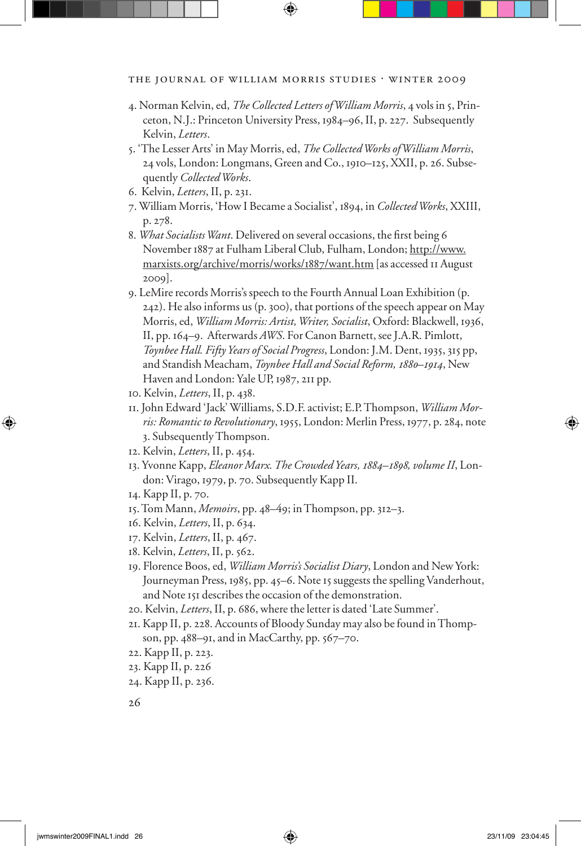- 4. Norman Kelvin, ed, *The Collected Letters of William Morris*, 4 vols in 5, Princeton, N.J.: Princeton University Press, 1984–96, II, p. 227. Subsequently Kelvin, *Letters*.
- 5. 'The Lesser Arts' in May Morris, ed, *The Collected Works of William Morris*, 24 vols, London: Longmans, Green and Co., 1910–125, XXII, p. 26. Subsequently *Collected Works*.
- 6. Kelvin, *Letters*, II, p. 231.
- 7. William Morris, 'How I Became a Socialist', 1894, in *Collected Works*, XXIII, p. 278.
- 8. What Socialists Want. Delivered on several occasions, the first being 6 November 1887 at Fulham Liberal Club, Fulham, London; http://www. marxists.org/archive/morris/works/1887/want.htm [as accessed 11 August 2009].
- 9. LeMire records Morris's speech to the Fourth Annual Loan Exhibition (p. 242). He also informs us (p. 300), that portions of the speech appear on May Morris, ed, *William Morris: Artist, Writer, Socialist*, Oxford: Blackwell, 1936, II, pp. 164–9. Afterwards *AWS*. For Canon Barnett, see J.A.R. Pimlott, *Toynbee Hall. Fifty Years of Social Progress*, London: J.M. Dent, 1935, 315 pp, and Standish Meacham, *Toynbee Hall and Social Reform, 1880–1914*, New Haven and London: Yale UP, 1987, 211 pp.
- 10. Kelvin, *Letters*, II, p. 438.
- 11. John Edward 'Jack' Williams, S.D.F. activist; E.P. Thompson, *William Morris: Romantic to Revolutionary*, 1955, London: Merlin Press, 1977, p. 284, note 3. Subsequently Thompson.
- 12. Kelvin, *Letters*, II, p. 454.
- 13. Yvonne Kapp, *Eleanor Marx. The Crowded Years, 1884–1898, volume II*, London: Virago, 1979, p. 70. Subsequently Kapp II.
- 14. Kapp II, p. 70.
- 15. Tom Mann, *Memoirs*, pp. 48–49; in Thompson, pp. 312–3.
- 16. Kelvin, *Letters*, II, p. 634.
- 17. Kelvin, *Letters*, II, p. 467.
- 18. Kelvin, *Letters*, II, p. 562.
- 19. Florence Boos, ed, *William Morris's Socialist Diary*, London and New York: Journeyman Press, 1985, pp. 45–6. Note 15 suggests the spelling Vanderhout, and Note 151 describes the occasion of the demonstration.
- 20. Kelvin, *Letters*, II, p. 686, where the letter is dated 'Late Summer'.
- 21. Kapp II, p. 228. Accounts of Bloody Sunday may also be found in Thompson, pp. 488–91, and in MacCarthy, pp. 567–70.
- 22. Kapp II, p. 223.
- 23. Kapp II, p. 226
- 24. Kapp II, p. 236.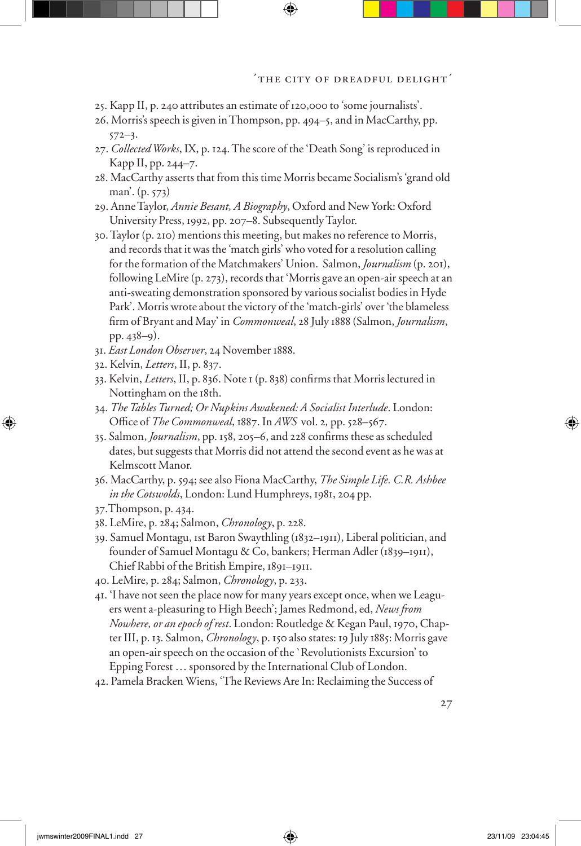- 25. Kapp II, p. 240 attributes an estimate of 120,000 to 'some journalists'.
- 26. Morris's speech is given in Thompson, pp. 494–5, and in MacCarthy, pp.  $572 - 3.$
- 27. *Collected Works*, IX, p. 124. The score of the 'Death Song' is reproduced in Kapp II, pp. 244–7.
- 28. MacCarthy asserts that from this time Morris became Socialism's 'grand old man'. (p. 573)
- 29. Anne Taylor, *Annie Besant, A Biography*, Oxford and New York: Oxford University Press, 1992, pp. 207–8. Subsequently Taylor.
- 30. Taylor (p. 210) mentions this meeting, but makes no reference to Morris, and records that it was the 'match girls' who voted for a resolution calling for the formation of the Matchmakers' Union. Salmon, *Journalism* (p. 201), following LeMire (p. 273), records that 'Morris gave an open-air speech at an anti-sweating demonstration sponsored by various socialist bodies in Hyde Park'. Morris wrote about the victory of the 'match-girls' over 'the blameless firm of Bryant and May' in *Commonweal*, 28 July 1888 (Salmon, *Journalism*, pp. 438–9).
- 31. *East London Observer*, 24 November 1888.
- 32. Kelvin, *Letters*, II, p. 837.
- 33. Kelvin, *Letters*, II, p. 836. Note 1 (p. 838) confirms that Morris lectured in Nottingham on the 18th.
- 34. *The Tables Turned; Or Nupkins Awakened: A Socialist Interlude*. London: Office of *The Commonweal*, 1887. In *AWS* vol. 2, pp. 528-567.
- 35. Salmon, *Journalism*, pp. 158, 205–6, and 228 confirms these as scheduled dates, but suggests that Morris did not attend the second event as he was at Kelmscott Manor.
- 36. MacCarthy, p. 594; see also Fiona MacCarthy, *The Simple Life. C.R. Ashbee in the Cotswolds*, London: Lund Humphreys, 1981, 204 pp.
- 37.Thompson, p. 434.
- 38. LeMire, p. 284; Salmon, *Chronology*, p. 228.
- 39. Samuel Montagu, 1st Baron Swaythling (1832–1911), Liberal politician, and founder of Samuel Montagu & Co, bankers; Herman Adler (1839–1911), Chief Rabbi of the British Empire, 1891–1911.
- 40. LeMire, p. 284; Salmon, *Chronology*, p. 233.
- 41. 'I have not seen the place now for many years except once, when we Leaguers went a-pleasuring to High Beech'; James Redmond, ed, *News from Nowhere, or an epoch of rest*. London: Routledge & Kegan Paul, 1970, Chapter III, p. 13. Salmon, *Chronology*, p. 150 also states: 19 July 1885: Morris gave an open-air speech on the occasion of the `Revolutionists Excursion' to Epping Forest … sponsored by the International Club of London.
- 42. Pamela Bracken Wiens, 'The Reviews Are In: Reclaiming the Success of